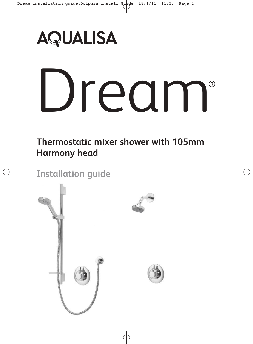

# Dream

**Thermostatic mixer shower with 105mm Harmony head**

**Installation guide**

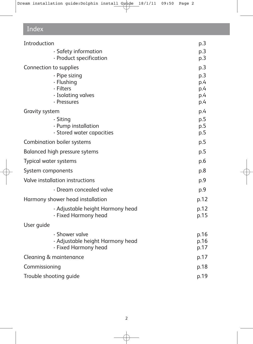# Index

| Introduction                     | p.3        |
|----------------------------------|------------|
| - Safety information             | p.3        |
| - Product specification          | p.3        |
| Connection to supplies           | p.3        |
| - Pipe sizing                    | p.3        |
| - Flushing<br>- Filters          | p.4        |
| - Isolating valves               | p.4<br>p.4 |
| - Pressures                      | p.4        |
| Gravity system                   | p.4        |
| - Siting                         | p.5        |
| - Pump installation              | p.5        |
| - Stored water capacities        | p.5        |
| Combination boiler systems       | p.5        |
| Balanced high pressure sytems    | p.5        |
| Typical water systems            | p.6        |
| System components                | p.8        |
| Valve installation instructions  | p.9        |
| - Dream concealed valve          | p.9        |
| Harmony shower head installation | p.12       |
| - Adjustable height Harmony head | p.12       |
| - Fixed Harmony head             | p.15       |
| User guide                       |            |
| - Shower valve                   | p.16       |
| - Adjustable height Harmony head | p.16       |
| - Fixed Harmony head             | p.17       |
| Cleaning & maintenance           | p.17       |
| Commissioning                    | p.18       |
| Trouble shooting guide           | p.19       |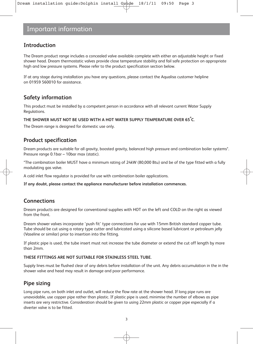# **Introduction**

The Dream product range includes a concealed valve available complete with either an adjustable height or fixed shower head. Dream thermostatic valves provide close temperature stability and fail safe protection on appropriate high and low pressure systems. Please refer to the product specification section below.

If at any stage during installation you have any questions, please contact the Aqualisa customer helpline on 01959 560010 for assistance.

## **Safety information**

This product must be installed by a competent person in accordance with all relevant current Water Supply Regulations.

#### **THE SHOWER MUST NOT BE USED WITH A HOT WATER SUPPLY TEMPERATURE OVER 65º C.**

The Dream range is designed for domestic use only.

#### **Product specification**

Dream products are suitable for all gravity, boosted gravity, balanced high pressure and combination boiler systems\*. Pressure range 0.1bar – 10bar max (static).

\*The combination boiler MUST have a minimum rating of 24kW (80,000 Btu) and be of the type fitted with a fully modulating gas valve.

A cold inlet flow regulator is provided for use with combination boiler applications.

**If any doubt, please contact the appliance manufacturer before installation commences.** 

#### **Connections**

Dream products are designed for conventional supplies with HOT on the left and COLD on the right as viewed from the front.

Dream shower valves incorporate 'push fit' type connections for use with 15mm British standard copper tube. Tube should be cut using a rotary type cutter and lubricated using a silicone based lubricant or petroleum jelly (Vaseline or similar) prior to insertion into the fitting.

If plastic pipe is used, the tube insert must not increase the tube diameter or extend the cut off length by more than 2mm.

#### **THESE FITTINGS ARE NOT SUITABLE FOR STAINLESS STEEL TUBE.**

Supply lines must be flushed clear of any debris before installation of the unit. Any debris accumulation in the in the shower valve and head may result in damage and poor performance.

## **Pipe sizing**

Long pipe runs, on both inlet and outlet, will reduce the flow rate at the shower head. If long pipe runs are unavoidable, use copper pipe rather than plastic. If plastic pipe is used, minimise the number of elbows as pipe inserts are very restrictive. Consideration should be given to using 22mm plastic or copper pipe especially if a diverter valve is to be fitted.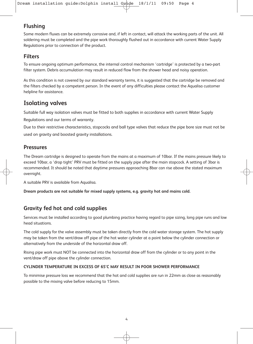# **Flushing**

Some modern fluxes can be extremely corrosive and, if left in contact, will attack the working parts of the unit. All soldering must be completed and the pipe work thoroughly flushed out in accordance with current Water Supply Regulations prior to connection of the product.

#### **Filters**

To ensure ongoing optimum performance, the internal control mechanism 'cartridge' is protected by a two-part filter system. Debris accumulation may result in reduced flow from the shower head and noisy operation.

As this condition is not covered by our standard warranty terms, it is suggested that the cartridge be removed and the filters checked by a competent person. In the event of any difficulties please contact the Aqualisa customer helpline for assistance.

# **Isolating valves**

Suitable full way isolation valves must be fitted to both supplies in accordance with current Water Supply

Regulations and our terms of warranty.

Due to their restrictive characteristics, stopcocks and ball type valves that reduce the pipe bore size must not be used on gravity and boosted gravity installations.

#### **Pressures**

The Dream cartridge is designed to operate from the mains at a maximum of 10bar. If the mains pressure likely to exceed 10bar, a 'drop tight' PRV must be fitted on the supply pipe after the main stopcock. A setting of 3bar is recommended. It should be noted that daytime pressures approaching 8bar can rise above the stated maximum overnight.

A suitable PRV is available from Aqualisa.

**Dream products are not suitable for mixed supply systems, e.g. gravity hot and mains cold.**

# **Gravity fed hot and cold supplies**

Services must be installed according to good plumbing practice having regard to pipe sizing, long pipe runs and low head situations.

The cold supply for the valve assembly must be taken directly from the cold water storage system. The hot supply may be taken from the vent/draw off pipe of the hot water cylinder at a point below the cylinder connection or alternatively from the underside of the horizontal draw off.

Rising pipe work must NOT be connected into the horizontal draw off from the cylinder or to any point in the vent/draw off pipe above the cylinder connection.

#### **CYLINDER TEMPERATURE IN EXCESS OF 65°C MAY RESULT IN POOR SHOWER PERFORMANCE**

To minimise pressure loss we recommend that the hot and cold supplies are run in 22mm as close as reasonably possible to the mixing valve before reducing to 15mm.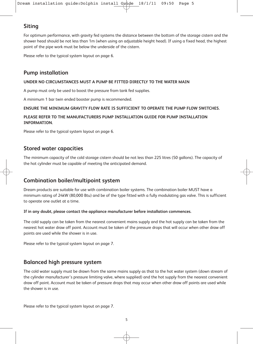# **Siting**

For optimum performance, with gravity fed systems the distance between the bottom of the storage cistern and the shower head should be not less than 1m (when using an adjustable height head). If using a fixed head, the highest point of the pipe work must be below the underside of the cistern.

Please refer to the typical system layout on page 6.

## **Pump installation**

#### **UNDER NO CIRCUMSTANCES MUST A PUMP BE FITTED DIRECTLY TO THE WATER MAIN**

A pump must only be used to boost the pressure from tank fed supplies.

A minimum 1 bar twin ended booster pump is recommended.

#### **ENSURE THE MINIMUM GRAVITY FLOW RATE IS SUFFICIENT TO OPERATE THE PUMP FLOW SWITCHES.**

#### **PLEASE REFER TO THE MANUFACTURERS PUMP INSTALLATION GUIDE FOR PUMP INSTALLATION INFORMATION.**

Please refer to the typical system layout on page 6.

#### **Stored water capacities**

The minimum capacity of the cold storage cistern should be not less than 225 litres (50 gallons). The capacity of the hot cylinder must be capable of meeting the anticipated demand.

#### **Combination boiler/multipoint system**

Dream products are suitable for use with combination boiler systems. The combination boiler MUST have a minimum rating of 24kW (80,000 Btu) and be of the type fitted with a fully modulating gas valve. This is sufficient to operate one outlet at a time.

#### **If in any doubt, please contact the appliance manufacturer before installation commences.**

The cold supply can be taken from the nearest convenient mains supply and the hot supply can be taken from the nearest hot water draw off point. Account must be taken of the pressure drops that will occur when other draw off points are used while the shower is in use.

Please refer to the typical system layout on page 7.

#### **Balanced high pressure system**

The cold water supply must be drawn from the same mains supply as that to the hot water system (down stream of the cylinder manufacturer's pressure limiting valve, where supplied) and the hot supply from the nearest convenient draw off point. Account must be taken of pressure drops that may occur when other draw off points are used while the shower is in use.

Please refer to the typical system layout on page 7.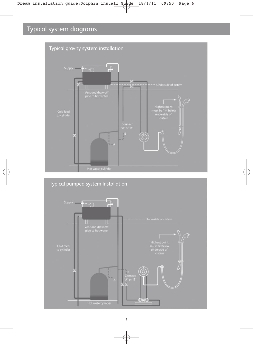# Typical system diagrams



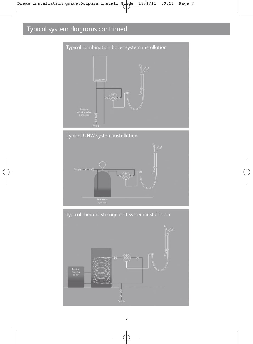# Typical system diagrams continued









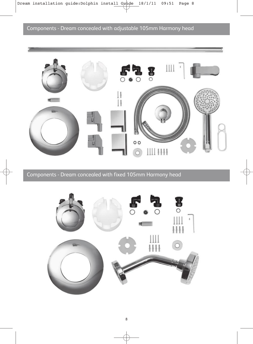

Components - Dream concealed with fixed 105mm Harmony head

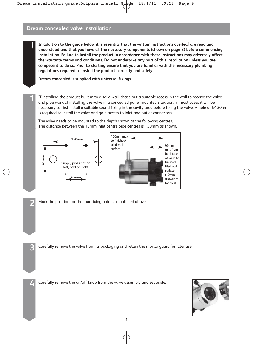**! In addition to the guide below it is essential that the written instructions overleaf are read and understood and that you have all the necessary components (shown on page 8) before commencing installation. Failure to install the product in accordance with these instructions may adversely affect the warranty terms and conditions. Do not undertake any part of this installation unless you are competent to do so. Prior to starting ensure that you are familiar with the necessary plumbing regulations required to install the product correctly and safely.**

**Dream concealed is supplied with universal fixings.** 

**1** If installing the product built in to a solid wall, chase out a suitable recess in the wall to receive the valve and pipe work. If installing the valve in a concealed panel mounted situation, in most cases it will be necessary to first install a suitable sound fixing in the cavity area before fixing the valve. A hole of Ø130mm is required to install the valve and gain access to inlet and outlet connectors.

The valve needs to be mounted to the depth shown at the following centres. The distance between the 15mm inlet centre pipe centres is 150mm as shown.



**2** Mark the position for the four fixing points as outlined above.

**4** Carefully remove the on/off knob from the valve assembly and set aside.

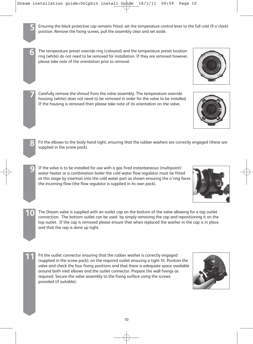

**7** Carefully remove the shroud from the valve assembly. The temperature override housing (white) does not need to be removed in order for the valve to be installed. If the housing is removed then please take note of its orientation on the valve.

**8** Fit the elbows to the body hand tight, ensuring that the rubber washers are correctly engaged (these are supplied in the screw pack).

- **9** If the valve is to be installed for use with a gas fired instantaneous (multipoint) water heater or a combination boiler the cold water flow regulator must be fitted at this stage by insertion into the cold water port as shown ensuring the o'ring faces the incoming flow (the flow regulator is supplied in its own pack).
- **10** The Dream valve is supplied with an outlet cap on the bottom of the valve allowing for a top outlet connection. The bottom outlet can be used by simply removing the cap and repositioning it on the top outlet. If the cap is removed please ensure that when replaced the washer in the cap is in place and that the cap is done up tight.
	- **11** Fit the outlet connector ensuring that the rubber washer is correctly engaged (supplied in the screw pack), on the required outlet ensuring a tight fit. Position the valve and check the four fixing positions and that there is adequate space available around both inlet elbows and the outlet connector. Prepare the wall fixings as required. Secure the valve assembly to the fixing surface using the screws provided (if suitable).







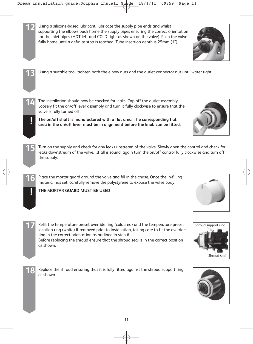| Using a silicone-based lubricant, lubricate the supply pipe ends and whilst<br>supporting the elbows push home the supply pipes ensuring the correct orientation<br>for the inlet pipes (HOT left and COLD right as shown on the valve). Push the valve<br>fully home until a definite stop is reached. Tube insertion depth is 25mm (1").                        |                                    |
|-------------------------------------------------------------------------------------------------------------------------------------------------------------------------------------------------------------------------------------------------------------------------------------------------------------------------------------------------------------------|------------------------------------|
| Using a suitable tool, tighten both the elbow nuts and the outlet connector nut until water tight.                                                                                                                                                                                                                                                                |                                    |
| The installation should now be checked for leaks. Cap off the outlet assembly.<br>Loosely fit the on/off lever assembly and turn it fully clockwise to ensure that the<br>valve is fully turned off.<br>The on/off shaft is manufactured with a flat area. The corresponding flat<br>area in the on/off lever must be in alignment before the knob can be fitted. |                                    |
| Turn on the supply and check for any leaks upstream of the valve. Slowly open the control and check for<br>leaks downstream of the valve. If all is sound, again turn the on/off control fully clockwise and turn off<br>the supply.                                                                                                                              |                                    |
| Place the mortar guard around the valve and fill in the chase. Once the in-filling<br>material has set, carefully remove the polystyrene to expose the valve body.<br>THE MORTAR GUARD MUST BE USED                                                                                                                                                               |                                    |
| Refit the temperature preset override ring (coloured) and the temperature preset<br>location ring (white) if removed prior to installation, taking care to fit the override<br>ring in the correct orientation as outlined in step 6.<br>Before replacing the shroud ensure that the shroud seal is in the correct position<br>as shown.                          | Shroud support ring<br>Shroud seal |
| Replace the shroud ensuring that it is fully fitted against the shroud support ring<br>as shown.                                                                                                                                                                                                                                                                  |                                    |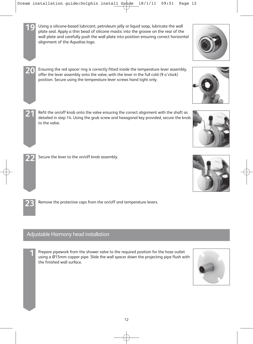

# Adjustable Harmony head installation

**1** Prepare pipework from the shower valve to the required position for the hose outlet using a Ø15mm copper pipe. Slide the wall spacer down the projecting pipe flush with the finished wall surface.

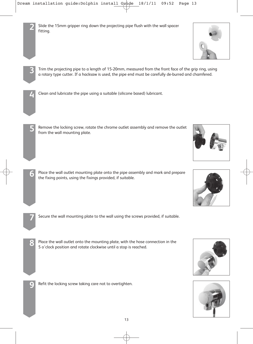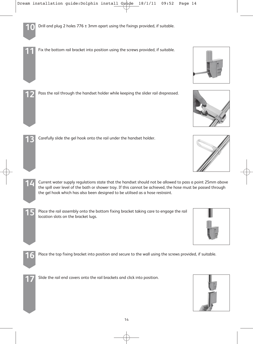

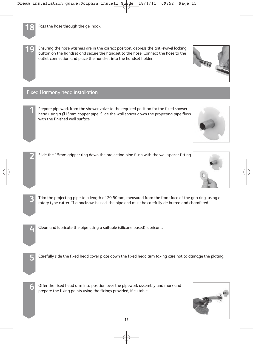**19** Ensuring the hose washers are in the correct position, depress the anti-swivel locking button on the handset and secure the handset to the hose. Connect the hose to the outlet connection and place the handset into the handset holder.

#### Fixed Harmony head installation

**1** Prepare pipework from the shower valve to the required position for the fixed shower head using a Ø15mm copper pipe. Slide the wall spacer down the projecting pipe flush with the finished wall surface.



- **3** Trim the projecting pipe to a length of 20-50mm, measured from the front face of the grip ring, using a rotary type cutter. If a hacksaw is used, the pipe end must be carefully de-burred and chamfered.
- **4** Clean and lubricate the pipe using a suitable (silicone based) lubricant.
- **5** Carefully side the fixed head cover plate down the fixed head arm taking care not to damage the plating.
- **6** Offer the fixed head arm into position over the pipework assembly and mark and prepare the fixing points using the fixings provided, if suitable.







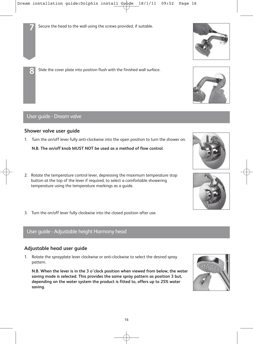**8** Slide the cover plate into position flush with the finished wall surface.

User guide - Dream valve

## **Shower valve user guide**

1. Turn the on/off lever fully anti-clockwise into the open position to turn the shower on.

**N.B. The on/off knob MUST NOT be used as a method of flow control.**

- 2. Rotate the temperature control lever, depressing the maximum temperature stop button at the top of the lever if required, to select a comfortable showering temperature using the temperature markings as a guide.
- 3. Turn the on/off lever fully clockwise into the closed position after use.

# User guide - Adjustable height Harmony head

#### **Adjustable head user guide**

1. Rotate the sprayplate lever clockwise or anti-clockwise to select the desired spray pattern.

**N.B. When the lever is in the 3 o'clock position when viewed from below, the water saving mode is selected. This provides the same spray pattern as position 3 but, depending on the water system the product is fitted to, offers up to 25% water saving.**









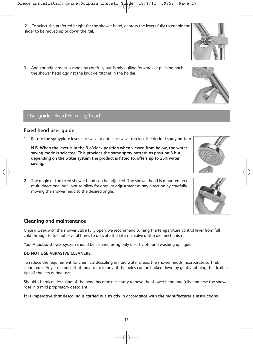2. To select the preferred height for the shower head, depress the levers fully to enable the slider to be moved up or down the rail.

3. Angular adjustment is made by carefully but firmly pulling forwards or pushing back the shower head against the knuckle ratchet in the holder.

### User guide - Fixed Harmony head

#### **Fixed head user guide**

1. Rotate the sprayplate lever clockwise or anti-clockwise to select the desired spray pattern.

**N.B. When the lever is in the 3 o'clock position when viewed from below, the water saving mode is selected. This provides the same spray pattern as position 3 but, depending on the water system the product is fitted to, offers up to 25% water saving.**

2. The angle of the fixed shower head can be adjusted. The shower head is mounted on a multi directional ball joint to allow for angular adjustment in any direction by carefully moving the shower head to the desired angle.

#### **Cleaning and maintenance**

Once a week with the shower valve fully open, we recommend turning the temperature control lever from full cold through to full hot several times to activate the internal valve anti-scale mechanism.

Your Aqualisa shower system should be cleaned using only a soft cloth and washing up liquid.

#### **DO NOT USE ABRASIVE CLEANERS.**

To reduce the requirement for chemical descaling in hard water areas, the shower heads incorporate soft rub clean teats. Any scale build that may occur in any of the holes can be broken down by gently rubbing the flexible tips of the jets during use.

Should chemical descaling of the head become necessary remove the shower head and fully immerse the shower rose in a mild proprietary descalent.

**It is imperative that descaling is carried out strictly in accordance with the manufacturer's instructions.**







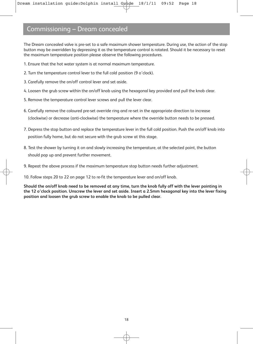# Commissioning – Dream concealed

The Dream concealed valve is pre-set to a safe maximum shower temperature. During use, the action of the stop button may be overridden by depressing it as the temperature control is rotated. Should it be necessary to reset the maximum temperature position please observe the following procedures.

- 1. Ensure that the hot water system is at normal maximum temperature.
- 2. Turn the temperature control lever to the full cold position (9 o'clock).
- 3. Carefully remove the on/off control lever and set aside.
- 4. Loosen the grub screw within the on/off knob using the hexagonal key provided and pull the knob clear.
- 5. Remove the temperature control lever screws and pull the lever clear.
- 6. Carefully remove the coloured pre-set override ring and re-set in the appropriate direction to increase (clockwise) or decrease (anti-clockwise) the temperature where the override button needs to be pressed.
- 7. Depress the stop button and replace the temperature lever in the full cold position. Push the on/off knob into position fully home, but do not secure with the grub screw at this stage.
- 8. Test the shower by turning it on and slowly increasing the temperature, at the selected point, the button should pop up and prevent further movement.
- 9. Repeat the above process if the maximum temperature stop button needs further adjustment.

10. Follow steps 20 to 22 on page 12 to re-fit the temperature lever and on/off knob.

**Should the on/off knob need to be removed at any time, turn the knob fully off with the lever pointing in the 12 o'clock position. Unscrew the lever and set aside. Insert a 2.5mm hexagonal key into the lever fixing position and loosen the grub screw to enable the knob to be pulled clear.**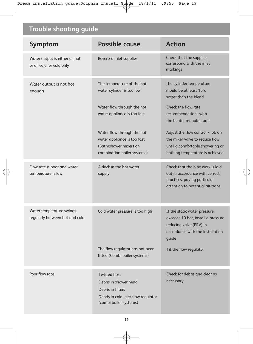# **Trouble shooting guide**

| Symptom                                                     | <b>Possible cause</b>                                                                                                                                                                                                                      | <b>Action</b>                                                                                                                                                                                                                                                                                      |
|-------------------------------------------------------------|--------------------------------------------------------------------------------------------------------------------------------------------------------------------------------------------------------------------------------------------|----------------------------------------------------------------------------------------------------------------------------------------------------------------------------------------------------------------------------------------------------------------------------------------------------|
| Water output is either all hot<br>or all cold, or cold only | Reversed inlet supplies                                                                                                                                                                                                                    | Check that the supplies<br>correspond with the inlet<br>markings                                                                                                                                                                                                                                   |
| Water output is not hot<br>enough                           | The temperature of the hot<br>water cylinder is too low<br>Water flow through the hot<br>water appliance is too fast<br>Water flow through the hot<br>water appliance is too fast<br>(Bath/shower mixers on<br>combination boiler systems) | The cylinder temperature<br>should be at least 15°c<br>hotter than the blend<br>Check the flow rate<br>recommendations with<br>the heater manufacturer<br>Adjust the flow control knob on<br>the mixer valve to reduce flow<br>until a comfortable showering or<br>bathing temperature is achieved |
| Flow rate is poor and water<br>temperature is low           | Airlock in the hot water<br>supply                                                                                                                                                                                                         | Check that the pipe work is laid<br>out in accordance with correct<br>practices, paying particular<br>attention to potential air-traps                                                                                                                                                             |
| Water temperature swings<br>regularly between hot and cold  | Cold water pressure is too high<br>The flow regulator has not been<br>fitted (Combi boiler systems)                                                                                                                                        | If the static water pressure<br>exceeds 10 bar, install a pressure<br>reducing valve (PRV) in<br>accordance with the installation<br>guide<br>Fit the flow regulator                                                                                                                               |
| Poor flow rate                                              | <b>Twisted hose</b><br>Debris in shower head<br>Debris in filters<br>Debris in cold inlet flow regulator<br>(combi boiler systems)                                                                                                         | Check for debris and clear as<br>necessary                                                                                                                                                                                                                                                         |